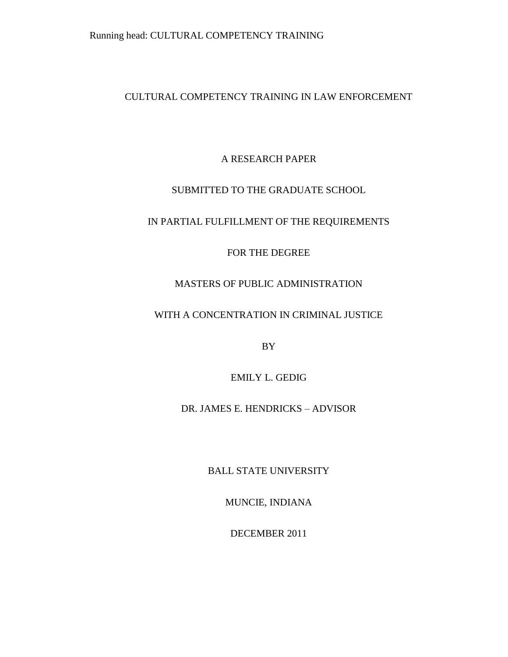# CULTURAL COMPETENCY TRAINING IN LAW ENFORCEMENT

# A RESEARCH PAPER

# SUBMITTED TO THE GRADUATE SCHOOL

# IN PARTIAL FULFILLMENT OF THE REQUIREMENTS

# FOR THE DEGREE

# MASTERS OF PUBLIC ADMINISTRATION

# WITH A CONCENTRATION IN CRIMINAL JUSTICE

BY

### EMILY L. GEDIG

### DR. JAMES E. HENDRICKS – ADVISOR

### BALL STATE UNIVERSITY

### MUNCIE, INDIANA

### DECEMBER 2011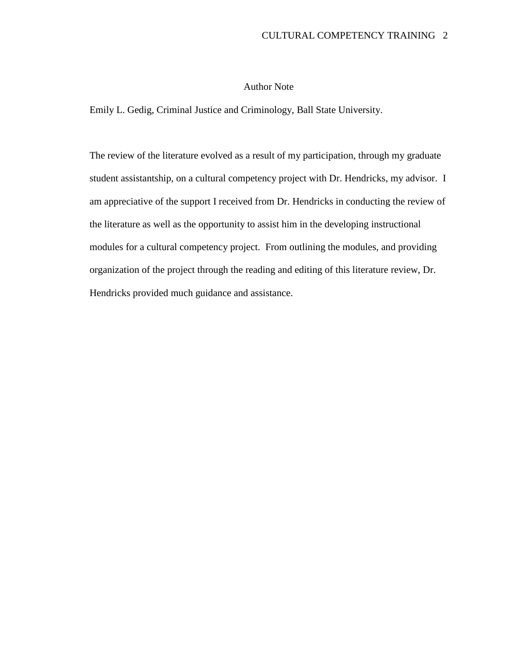### Author Note

Emily L. Gedig, Criminal Justice and Criminology, Ball State University.

The review of the literature evolved as a result of my participation, through my graduate student assistantship, on a cultural competency project with Dr. Hendricks, my advisor. I am appreciative of the support I received from Dr. Hendricks in conducting the review of the literature as well as the opportunity to assist him in the developing instructional modules for a cultural competency project. From outlining the modules, and providing organization of the project through the reading and editing of this literature review, Dr. Hendricks provided much guidance and assistance.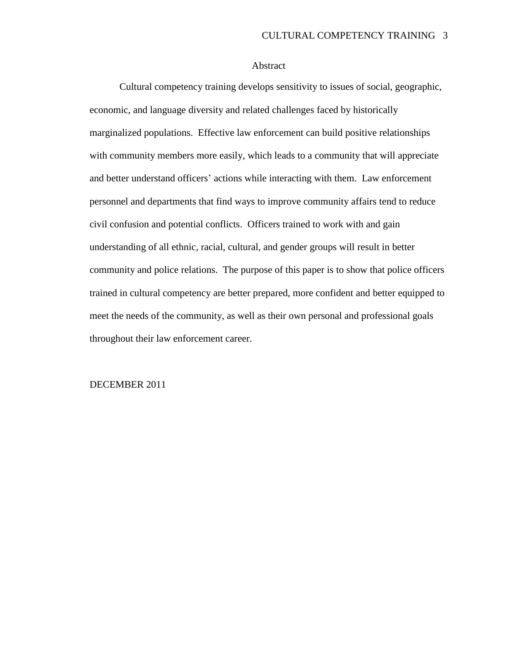### Abstract

Cultural competency training develops sensitivity to issues of social, geographic, economic, and language diversity and related challenges faced by historically marginalized populations. Effective law enforcement can build positive relationships with community members more easily, which leads to a community that will appreciate and better understand officers' actions while interacting with them. Law enforcement personnel and departments that find ways to improve community affairs tend to reduce civil confusion and potential conflicts. Officers trained to work with and gain understanding of all ethnic, racial, cultural, and gender groups will result in better community and police relations. The purpose of this paper is to show that police officers trained in cultural competency are better prepared, more confident and better equipped to meet the needs of the community, as well as their own personal and professional goals throughout their law enforcement career.

### DECEMBER 2011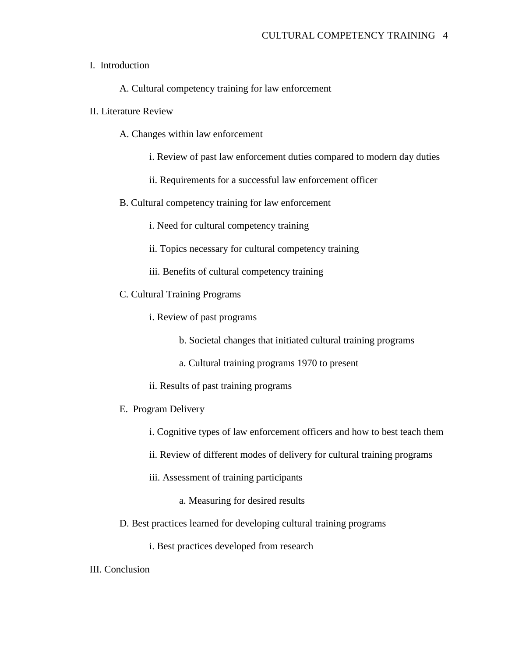### I. Introduction

A. Cultural competency training for law enforcement

### II. Literature Review

- A. Changes within law enforcement
	- i. Review of past law enforcement duties compared to modern day duties
	- ii. Requirements for a successful law enforcement officer
- B. Cultural competency training for law enforcement
	- i. Need for cultural competency training
	- ii. Topics necessary for cultural competency training
	- iii. Benefits of cultural competency training
- C. Cultural Training Programs
	- i. Review of past programs
		- b. Societal changes that initiated cultural training programs
		- a. Cultural training programs 1970 to present
	- ii. Results of past training programs

#### E. Program Delivery

- i. Cognitive types of law enforcement officers and how to best teach them
- ii. Review of different modes of delivery for cultural training programs
- iii. Assessment of training participants
	- a. Measuring for desired results
- D. Best practices learned for developing cultural training programs
	- i. Best practices developed from research

III. Conclusion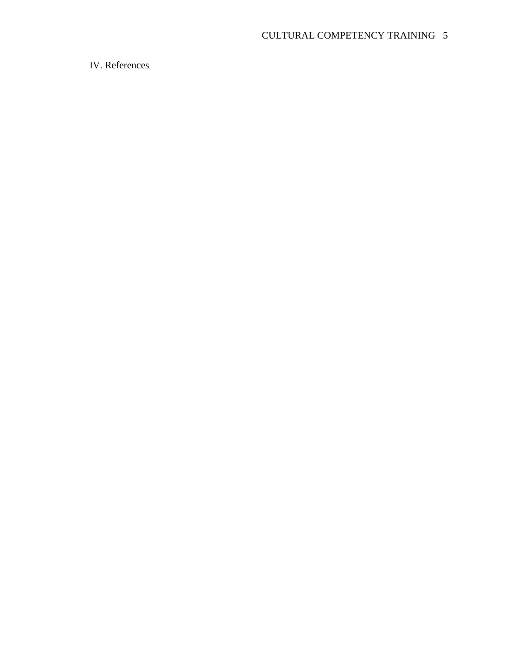IV. References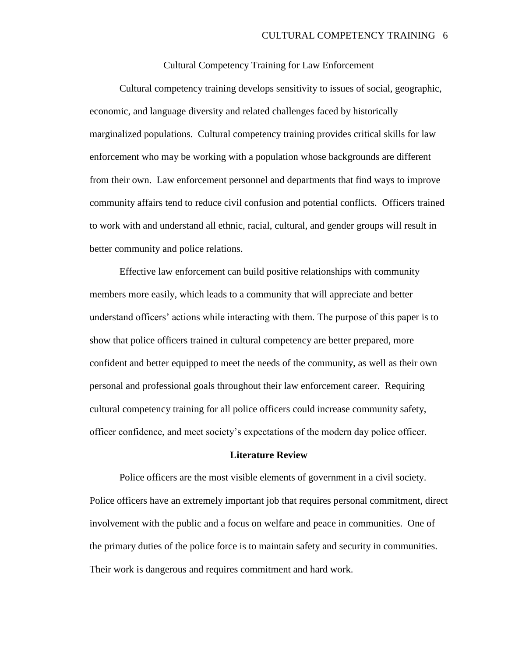Cultural Competency Training for Law Enforcement

Cultural competency training develops sensitivity to issues of social, geographic, economic, and language diversity and related challenges faced by historically marginalized populations. Cultural competency training provides critical skills for law enforcement who may be working with a population whose backgrounds are different from their own. Law enforcement personnel and departments that find ways to improve community affairs tend to reduce civil confusion and potential conflicts. Officers trained to work with and understand all ethnic, racial, cultural, and gender groups will result in better community and police relations.

Effective law enforcement can build positive relationships with community members more easily, which leads to a community that will appreciate and better understand officers" actions while interacting with them. The purpose of this paper is to show that police officers trained in cultural competency are better prepared, more confident and better equipped to meet the needs of the community, as well as their own personal and professional goals throughout their law enforcement career. Requiring cultural competency training for all police officers could increase community safety, officer confidence, and meet society"s expectations of the modern day police officer.

#### **Literature Review**

Police officers are the most visible elements of government in a civil society. Police officers have an extremely important job that requires personal commitment, direct involvement with the public and a focus on welfare and peace in communities. One of the primary duties of the police force is to maintain safety and security in communities. Their work is dangerous and requires commitment and hard work.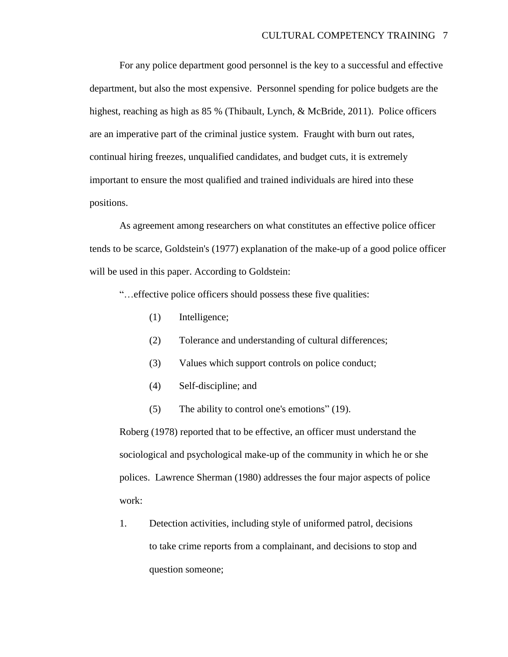For any police department good personnel is the key to a successful and effective department, but also the most expensive. Personnel spending for police budgets are the highest, reaching as high as 85 % (Thibault, Lynch, & McBride, 2011). Police officers are an imperative part of the criminal justice system. Fraught with burn out rates, continual hiring freezes, unqualified candidates, and budget cuts, it is extremely important to ensure the most qualified and trained individuals are hired into these positions.

As agreement among researchers on what constitutes an effective police officer tends to be scarce, Goldstein's (1977) explanation of the make-up of a good police officer will be used in this paper. According to Goldstein:

"…effective police officers should possess these five qualities:

- (1) Intelligence;
- (2) Tolerance and understanding of cultural differences;
- (3) Values which support controls on police conduct;
- (4) Self-discipline; and
- (5) The ability to control one's emotions" (19).

Roberg (1978) reported that to be effective, an officer must understand the sociological and psychological make-up of the community in which he or she polices. Lawrence Sherman (1980) addresses the four major aspects of police work:

1. Detection activities, including style of uniformed patrol, decisions to take crime reports from a complainant, and decisions to stop and question someone;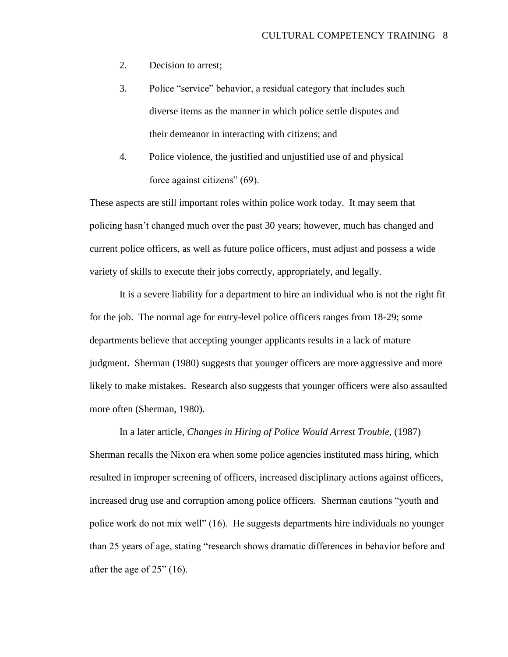- 2. Decision to arrest;
- 3. Police "service" behavior, a residual category that includes such diverse items as the manner in which police settle disputes and their demeanor in interacting with citizens; and
- 4. Police violence, the justified and unjustified use of and physical force against citizens" (69).

These aspects are still important roles within police work today. It may seem that policing hasn"t changed much over the past 30 years; however, much has changed and current police officers, as well as future police officers, must adjust and possess a wide variety of skills to execute their jobs correctly, appropriately, and legally.

It is a severe liability for a department to hire an individual who is not the right fit for the job. The normal age for entry-level police officers ranges from 18-29; some departments believe that accepting younger applicants results in a lack of mature judgment. Sherman (1980) suggests that younger officers are more aggressive and more likely to make mistakes. Research also suggests that younger officers were also assaulted more often (Sherman, 1980).

In a later article, *Changes in Hiring of Police Would Arrest Trouble,* (1987) Sherman recalls the Nixon era when some police agencies instituted mass hiring, which resulted in improper screening of officers, increased disciplinary actions against officers, increased drug use and corruption among police officers. Sherman cautions "youth and police work do not mix well" (16). He suggests departments hire individuals no younger than 25 years of age, stating "research shows dramatic differences in behavior before and after the age of 25" (16).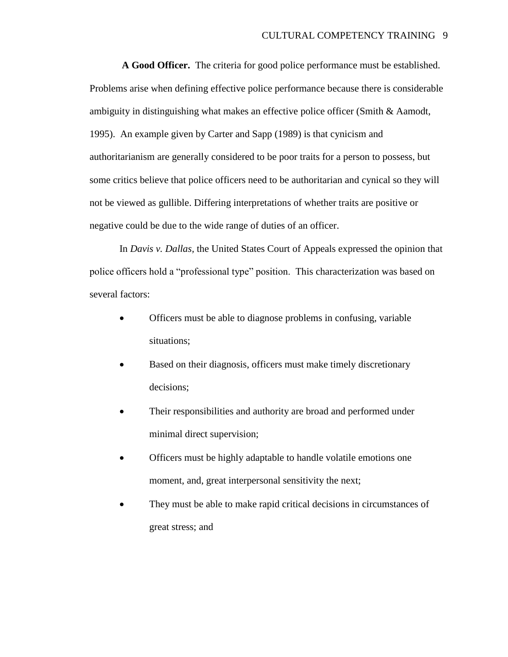**A Good Officer.** The criteria for good police performance must be established. Problems arise when defining effective police performance because there is considerable ambiguity in distinguishing what makes an effective police officer (Smith & Aamodt, 1995). An example given by Carter and Sapp (1989) is that cynicism and authoritarianism are generally considered to be poor traits for a person to possess, but some critics believe that police officers need to be authoritarian and cynical so they will not be viewed as gullible. Differing interpretations of whether traits are positive or negative could be due to the wide range of duties of an officer.

In *Davis v. Dallas,* the United States Court of Appeals expressed the opinion that police officers hold a "professional type" position. This characterization was based on several factors:

- Officers must be able to diagnose problems in confusing, variable situations;
- Based on their diagnosis, officers must make timely discretionary decisions;
- Their responsibilities and authority are broad and performed under minimal direct supervision;
- Officers must be highly adaptable to handle volatile emotions one moment, and, great interpersonal sensitivity the next;
- They must be able to make rapid critical decisions in circumstances of great stress; and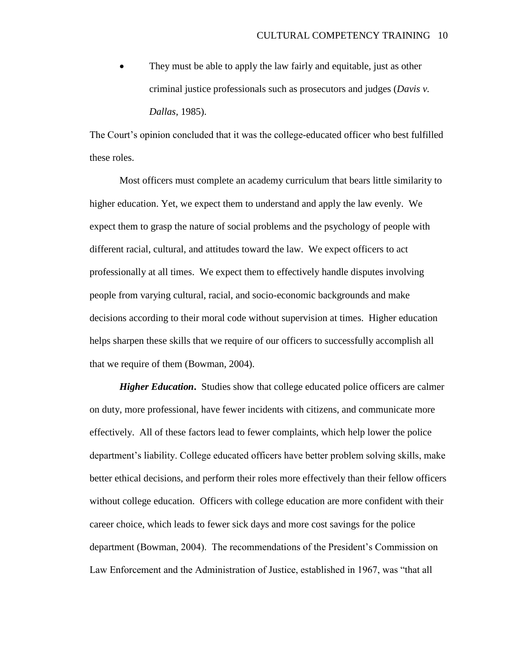They must be able to apply the law fairly and equitable, just as other criminal justice professionals such as prosecutors and judges (*Davis v. Dallas*, 1985).

The Court's opinion concluded that it was the college-educated officer who best fulfilled these roles.

Most officers must complete an academy curriculum that bears little similarity to higher education. Yet, we expect them to understand and apply the law evenly. We expect them to grasp the nature of social problems and the psychology of people with different racial, cultural, and attitudes toward the law. We expect officers to act professionally at all times. We expect them to effectively handle disputes involving people from varying cultural, racial, and socio-economic backgrounds and make decisions according to their moral code without supervision at times. Higher education helps sharpen these skills that we require of our officers to successfully accomplish all that we require of them (Bowman, 2004).

*Higher Education.* Studies show that college educated police officers are calmer on duty, more professional, have fewer incidents with citizens, and communicate more effectively. All of these factors lead to fewer complaints, which help lower the police department's liability. College educated officers have better problem solving skills, make better ethical decisions, and perform their roles more effectively than their fellow officers without college education. Officers with college education are more confident with their career choice, which leads to fewer sick days and more cost savings for the police department (Bowman, 2004). The recommendations of the President's Commission on Law Enforcement and the Administration of Justice, established in 1967, was "that all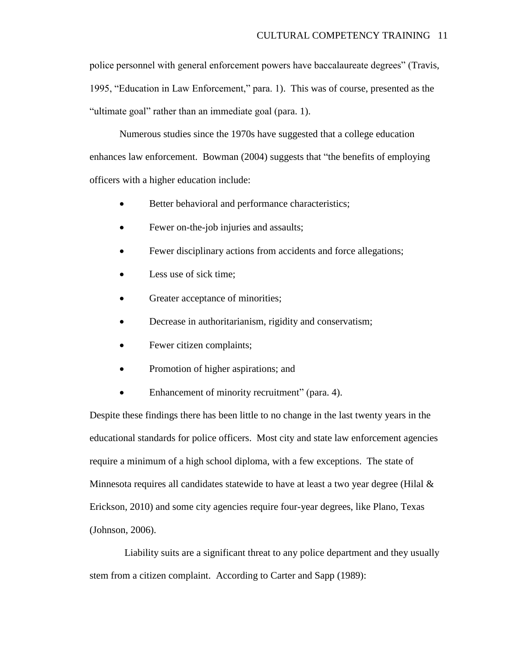police personnel with general enforcement powers have baccalaureate degrees" (Travis, 1995, "Education in Law Enforcement," para. 1). This was of course, presented as the "ultimate goal" rather than an immediate goal (para. 1).

Numerous studies since the 1970s have suggested that a college education enhances law enforcement. Bowman (2004) suggests that "the benefits of employing officers with a higher education include:

- Better behavioral and performance characteristics;
- Fewer on-the-job injuries and assaults;
- Fewer disciplinary actions from accidents and force allegations;
- Less use of sick time;
- Greater acceptance of minorities;
- Decrease in authoritarianism, rigidity and conservatism;
- Fewer citizen complaints;
- Promotion of higher aspirations; and
- Enhancement of minority recruitment" (para. 4).

Despite these findings there has been little to no change in the last twenty years in the educational standards for police officers. Most city and state law enforcement agencies require a minimum of a high school diploma, with a few exceptions. The state of Minnesota requires all candidates statewide to have at least a two year degree (Hilal  $\&$ Erickson, 2010) and some city agencies require four-year degrees, like Plano, Texas (Johnson, 2006).

 Liability suits are a significant threat to any police department and they usually stem from a citizen complaint. According to Carter and Sapp (1989):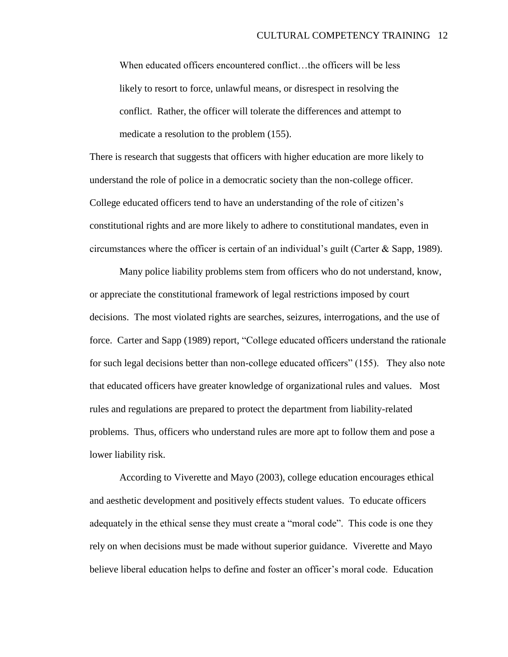When educated officers encountered conflict... the officers will be less likely to resort to force, unlawful means, or disrespect in resolving the conflict. Rather, the officer will tolerate the differences and attempt to medicate a resolution to the problem (155).

There is research that suggests that officers with higher education are more likely to understand the role of police in a democratic society than the non-college officer. College educated officers tend to have an understanding of the role of citizen"s constitutional rights and are more likely to adhere to constitutional mandates, even in circumstances where the officer is certain of an individual's guilt (Carter  $\&$  Sapp, 1989).

Many police liability problems stem from officers who do not understand, know, or appreciate the constitutional framework of legal restrictions imposed by court decisions. The most violated rights are searches, seizures, interrogations, and the use of force. Carter and Sapp (1989) report, "College educated officers understand the rationale for such legal decisions better than non-college educated officers" (155). They also note that educated officers have greater knowledge of organizational rules and values. Most rules and regulations are prepared to protect the department from liability-related problems. Thus, officers who understand rules are more apt to follow them and pose a lower liability risk.

According to Viverette and Mayo (2003), college education encourages ethical and aesthetic development and positively effects student values. To educate officers adequately in the ethical sense they must create a "moral code". This code is one they rely on when decisions must be made without superior guidance. Viverette and Mayo believe liberal education helps to define and foster an officer"s moral code. Education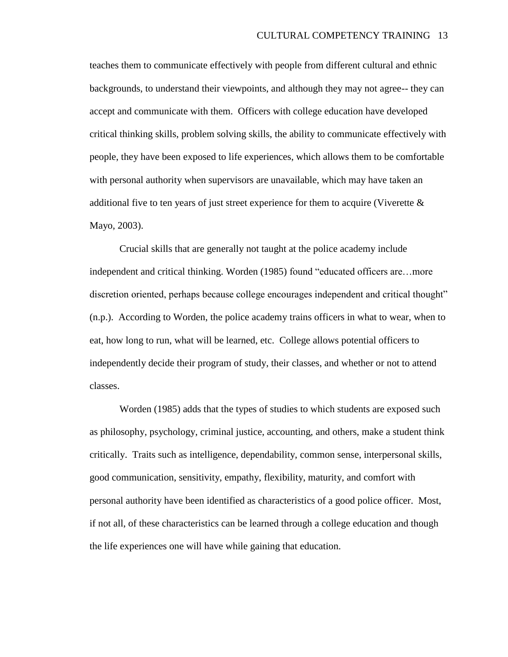teaches them to communicate effectively with people from different cultural and ethnic backgrounds, to understand their viewpoints, and although they may not agree-- they can accept and communicate with them. Officers with college education have developed critical thinking skills, problem solving skills, the ability to communicate effectively with people, they have been exposed to life experiences, which allows them to be comfortable with personal authority when supervisors are unavailable, which may have taken an additional five to ten years of just street experience for them to acquire (Viverette & Mayo, 2003).

Crucial skills that are generally not taught at the police academy include independent and critical thinking. Worden (1985) found "educated officers are…more discretion oriented, perhaps because college encourages independent and critical thought" (n.p.). According to Worden, the police academy trains officers in what to wear, when to eat, how long to run, what will be learned, etc. College allows potential officers to independently decide their program of study, their classes, and whether or not to attend classes.

Worden (1985) adds that the types of studies to which students are exposed such as philosophy, psychology, criminal justice, accounting, and others, make a student think critically. Traits such as intelligence, dependability, common sense, interpersonal skills, good communication, sensitivity, empathy, flexibility, maturity, and comfort with personal authority have been identified as characteristics of a good police officer. Most, if not all, of these characteristics can be learned through a college education and though the life experiences one will have while gaining that education.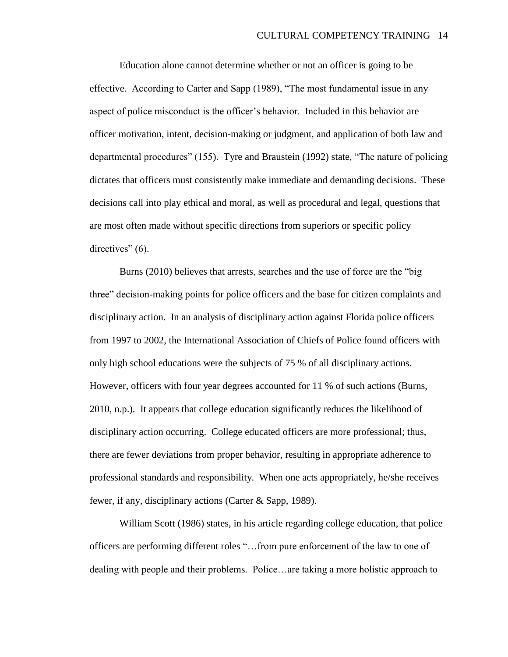Education alone cannot determine whether or not an officer is going to be effective. According to Carter and Sapp (1989), "The most fundamental issue in any aspect of police misconduct is the officer"s behavior. Included in this behavior are officer motivation, intent, decision-making or judgment, and application of both law and departmental procedures" (155). Tyre and Braustein (1992) state, "The nature of policing dictates that officers must consistently make immediate and demanding decisions. These decisions call into play ethical and moral, as well as procedural and legal, questions that are most often made without specific directions from superiors or specific policy directives" (6).

Burns (2010) believes that arrests, searches and the use of force are the "big three" decision-making points for police officers and the base for citizen complaints and disciplinary action. In an analysis of disciplinary action against Florida police officers from 1997 to 2002, the International Association of Chiefs of Police found officers with only high school educations were the subjects of 75 % of all disciplinary actions. However, officers with four year degrees accounted for 11 % of such actions (Burns, 2010, n.p.). It appears that college education significantly reduces the likelihood of disciplinary action occurring. College educated officers are more professional; thus, there are fewer deviations from proper behavior, resulting in appropriate adherence to professional standards and responsibility. When one acts appropriately, he/she receives fewer, if any, disciplinary actions (Carter & Sapp, 1989).

William Scott (1986) states, in his article regarding college education, that police officers are performing different roles "…from pure enforcement of the law to one of dealing with people and their problems. Police…are taking a more holistic approach to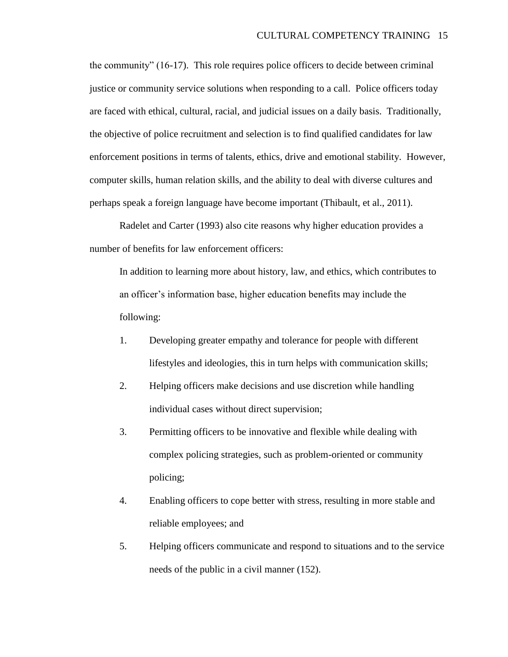the community" (16-17). This role requires police officers to decide between criminal justice or community service solutions when responding to a call. Police officers today are faced with ethical, cultural, racial, and judicial issues on a daily basis. Traditionally, the objective of police recruitment and selection is to find qualified candidates for law enforcement positions in terms of talents, ethics, drive and emotional stability. However, computer skills, human relation skills, and the ability to deal with diverse cultures and perhaps speak a foreign language have become important (Thibault, et al., 2011).

Radelet and Carter (1993) also cite reasons why higher education provides a number of benefits for law enforcement officers:

In addition to learning more about history, law, and ethics, which contributes to an officer"s information base, higher education benefits may include the following:

- 1. Developing greater empathy and tolerance for people with different lifestyles and ideologies, this in turn helps with communication skills;
- 2. Helping officers make decisions and use discretion while handling individual cases without direct supervision;
- 3. Permitting officers to be innovative and flexible while dealing with complex policing strategies, such as problem-oriented or community policing;
- 4. Enabling officers to cope better with stress, resulting in more stable and reliable employees; and
- 5. Helping officers communicate and respond to situations and to the service needs of the public in a civil manner (152).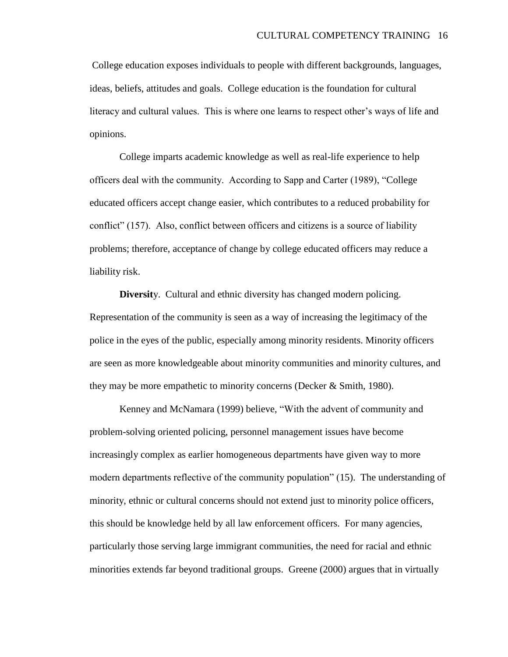College education exposes individuals to people with different backgrounds, languages, ideas, beliefs, attitudes and goals. College education is the foundation for cultural literacy and cultural values. This is where one learns to respect other"s ways of life and opinions.

College imparts academic knowledge as well as real-life experience to help officers deal with the community. According to Sapp and Carter (1989), "College educated officers accept change easier, which contributes to a reduced probability for conflict" (157). Also, conflict between officers and citizens is a source of liability problems; therefore, acceptance of change by college educated officers may reduce a liability risk.

**Diversit**y. Cultural and ethnic diversity has changed modern policing. Representation of the community is seen as a way of increasing the legitimacy of the police in the eyes of the public, especially among minority residents. Minority officers are seen as more knowledgeable about minority communities and minority cultures, and they may be more empathetic to minority concerns (Decker & Smith, 1980).

Kenney and McNamara (1999) believe, "With the advent of community and problem-solving oriented policing, personnel management issues have become increasingly complex as earlier homogeneous departments have given way to more modern departments reflective of the community population" (15). The understanding of minority, ethnic or cultural concerns should not extend just to minority police officers, this should be knowledge held by all law enforcement officers. For many agencies, particularly those serving large immigrant communities, the need for racial and ethnic minorities extends far beyond traditional groups. Greene (2000) argues that in virtually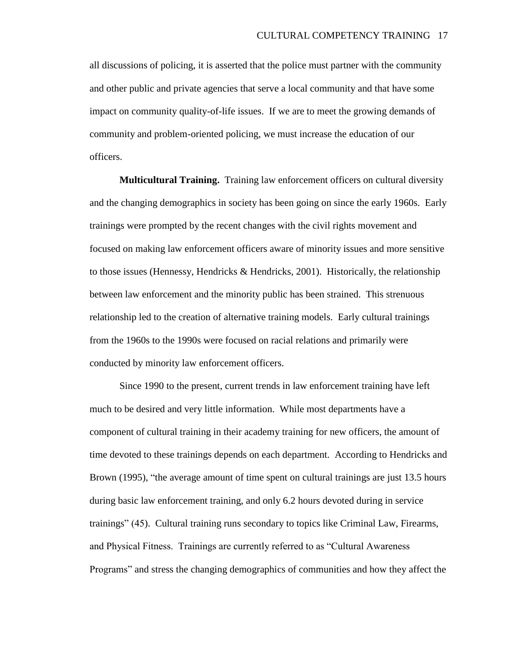all discussions of policing, it is asserted that the police must partner with the community and other public and private agencies that serve a local community and that have some impact on community quality-of-life issues. If we are to meet the growing demands of community and problem-oriented policing, we must increase the education of our officers.

**Multicultural Training.** Training law enforcement officers on cultural diversity and the changing demographics in society has been going on since the early 1960s. Early trainings were prompted by the recent changes with the civil rights movement and focused on making law enforcement officers aware of minority issues and more sensitive to those issues (Hennessy, Hendricks & Hendricks, 2001). Historically, the relationship between law enforcement and the minority public has been strained. This strenuous relationship led to the creation of alternative training models. Early cultural trainings from the 1960s to the 1990s were focused on racial relations and primarily were conducted by minority law enforcement officers.

Since 1990 to the present, current trends in law enforcement training have left much to be desired and very little information. While most departments have a component of cultural training in their academy training for new officers, the amount of time devoted to these trainings depends on each department. According to Hendricks and Brown (1995), "the average amount of time spent on cultural trainings are just 13.5 hours during basic law enforcement training, and only 6.2 hours devoted during in service trainings" (45). Cultural training runs secondary to topics like Criminal Law, Firearms, and Physical Fitness. Trainings are currently referred to as "Cultural Awareness Programs" and stress the changing demographics of communities and how they affect the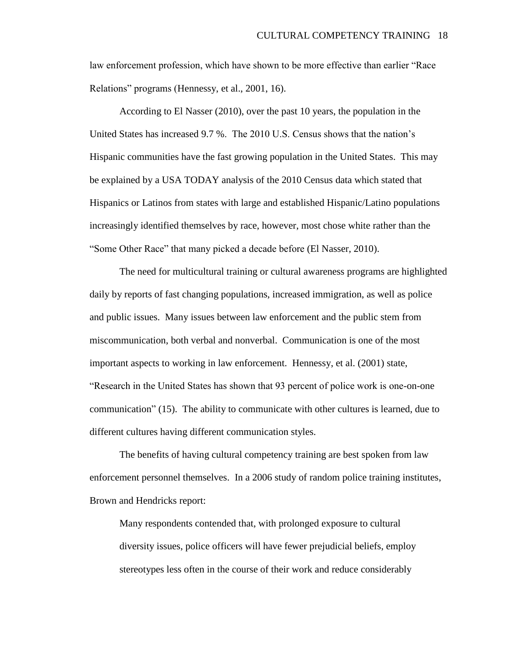law enforcement profession, which have shown to be more effective than earlier "Race Relations" programs (Hennessy, et al., 2001, 16).

According to El Nasser (2010), over the past 10 years, the population in the United States has increased 9.7 %. The 2010 U.S. Census shows that the nation"s Hispanic communities have the fast growing population in the United States. This may be explained by a USA TODAY analysis of the 2010 Census data which stated that Hispanics or Latinos from states with large and established Hispanic/Latino populations increasingly identified themselves by race, however, most chose white rather than the "Some Other Race" that many picked a decade before (El Nasser, 2010).

The need for multicultural training or cultural awareness programs are highlighted daily by reports of fast changing populations, increased immigration, as well as police and public issues. Many issues between law enforcement and the public stem from miscommunication, both verbal and nonverbal. Communication is one of the most important aspects to working in law enforcement. Hennessy, et al. (2001) state, "Research in the United States has shown that 93 percent of police work is one-on-one communication" (15). The ability to communicate with other cultures is learned, due to different cultures having different communication styles.

The benefits of having cultural competency training are best spoken from law enforcement personnel themselves. In a 2006 study of random police training institutes, Brown and Hendricks report:

Many respondents contended that, with prolonged exposure to cultural diversity issues, police officers will have fewer prejudicial beliefs, employ stereotypes less often in the course of their work and reduce considerably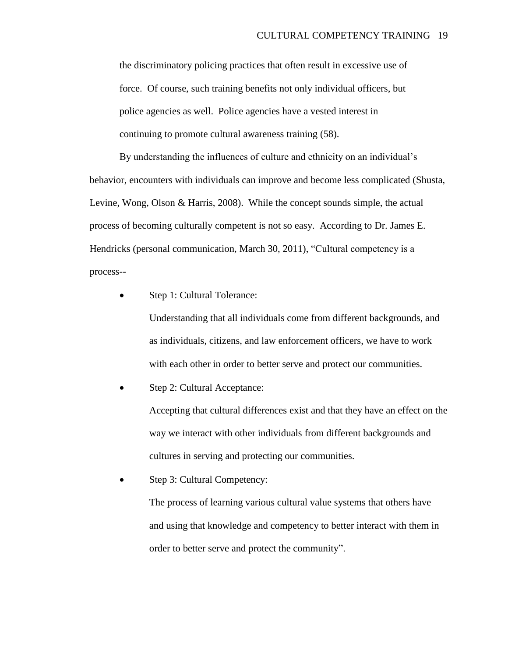the discriminatory policing practices that often result in excessive use of force. Of course, such training benefits not only individual officers, but police agencies as well. Police agencies have a vested interest in continuing to promote cultural awareness training (58).

By understanding the influences of culture and ethnicity on an individual's behavior, encounters with individuals can improve and become less complicated (Shusta, Levine, Wong, Olson & Harris, 2008). While the concept sounds simple, the actual process of becoming culturally competent is not so easy. According to Dr. James E. Hendricks (personal communication, March 30, 2011), "Cultural competency is a process--

Step 1: Cultural Tolerance:

Understanding that all individuals come from different backgrounds, and as individuals, citizens, and law enforcement officers, we have to work with each other in order to better serve and protect our communities.

Step 2: Cultural Acceptance:

Accepting that cultural differences exist and that they have an effect on the way we interact with other individuals from different backgrounds and cultures in serving and protecting our communities.

Step 3: Cultural Competency:

The process of learning various cultural value systems that others have and using that knowledge and competency to better interact with them in order to better serve and protect the community".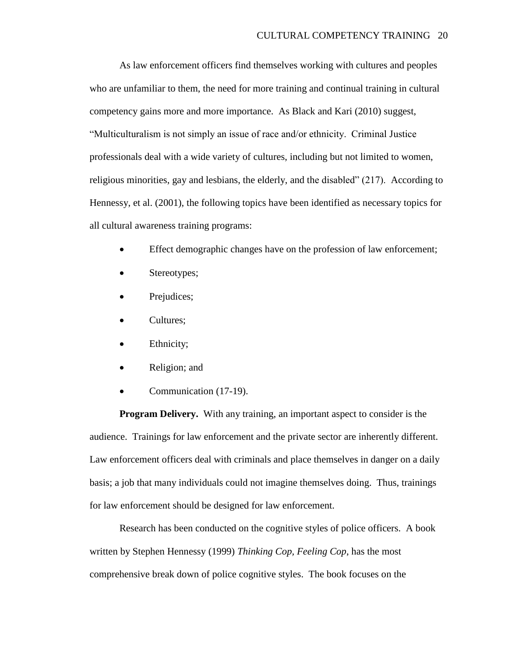As law enforcement officers find themselves working with cultures and peoples who are unfamiliar to them, the need for more training and continual training in cultural competency gains more and more importance. As Black and Kari (2010) suggest, "Multiculturalism is not simply an issue of race and/or ethnicity. Criminal Justice professionals deal with a wide variety of cultures, including but not limited to women, religious minorities, gay and lesbians, the elderly, and the disabled" (217). According to Hennessy, et al. (2001), the following topics have been identified as necessary topics for all cultural awareness training programs:

- Effect demographic changes have on the profession of law enforcement;
- Stereotypes;
- Prejudices;
- Cultures;
- Ethnicity;
- Religion; and
- Communication (17-19).

**Program Delivery.** With any training, an important aspect to consider is the audience. Trainings for law enforcement and the private sector are inherently different. Law enforcement officers deal with criminals and place themselves in danger on a daily basis; a job that many individuals could not imagine themselves doing. Thus, trainings for law enforcement should be designed for law enforcement.

Research has been conducted on the cognitive styles of police officers. A book written by Stephen Hennessy (1999) *Thinking Cop, Feeling Cop*, has the most comprehensive break down of police cognitive styles. The book focuses on the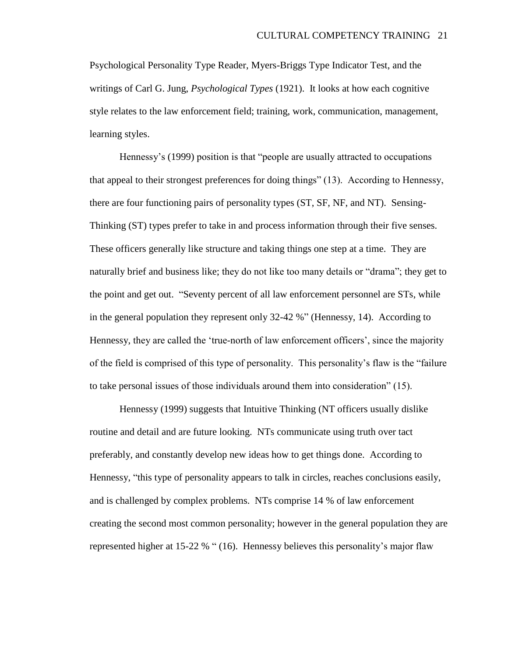Psychological Personality Type Reader, Myers-Briggs Type Indicator Test, and the writings of Carl G. Jung, *Psychological Types* (1921). It looks at how each cognitive style relates to the law enforcement field; training, work, communication, management, learning styles.

Hennessy's (1999) position is that "people are usually attracted to occupations that appeal to their strongest preferences for doing things" (13). According to Hennessy, there are four functioning pairs of personality types (ST, SF, NF, and NT). Sensing-Thinking (ST) types prefer to take in and process information through their five senses. These officers generally like structure and taking things one step at a time. They are naturally brief and business like; they do not like too many details or "drama"; they get to the point and get out. "Seventy percent of all law enforcement personnel are STs, while in the general population they represent only 32-42 %" (Hennessy, 14). According to Hennessy, they are called the "true-north of law enforcement officers", since the majority of the field is comprised of this type of personality. This personality"s flaw is the "failure to take personal issues of those individuals around them into consideration" (15).

Hennessy (1999) suggests that Intuitive Thinking (NT officers usually dislike routine and detail and are future looking. NTs communicate using truth over tact preferably, and constantly develop new ideas how to get things done. According to Hennessy, "this type of personality appears to talk in circles, reaches conclusions easily, and is challenged by complex problems. NTs comprise 14 % of law enforcement creating the second most common personality; however in the general population they are represented higher at 15-22 % " (16). Hennessy believes this personality"s major flaw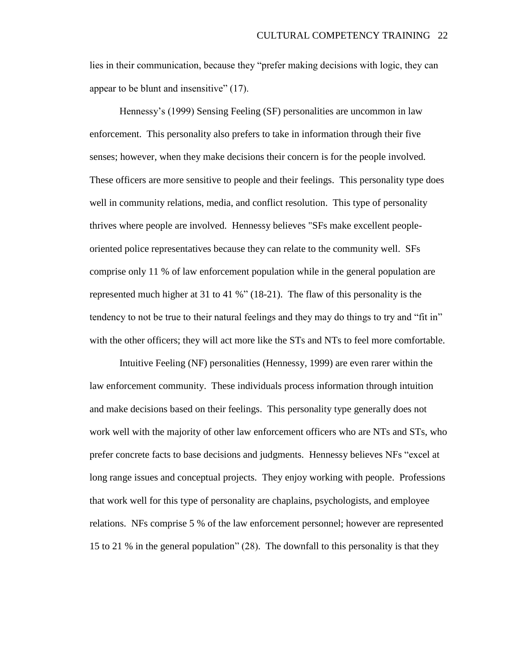lies in their communication, because they "prefer making decisions with logic, they can appear to be blunt and insensitive" (17).

Hennessy"s (1999) Sensing Feeling (SF) personalities are uncommon in law enforcement. This personality also prefers to take in information through their five senses; however, when they make decisions their concern is for the people involved. These officers are more sensitive to people and their feelings. This personality type does well in community relations, media, and conflict resolution. This type of personality thrives where people are involved. Hennessy believes "SFs make excellent peopleoriented police representatives because they can relate to the community well. SFs comprise only 11 % of law enforcement population while in the general population are represented much higher at 31 to 41 %" (18-21). The flaw of this personality is the tendency to not be true to their natural feelings and they may do things to try and "fit in" with the other officers; they will act more like the STs and NTs to feel more comfortable.

Intuitive Feeling (NF) personalities (Hennessy, 1999) are even rarer within the law enforcement community. These individuals process information through intuition and make decisions based on their feelings. This personality type generally does not work well with the majority of other law enforcement officers who are NTs and STs, who prefer concrete facts to base decisions and judgments. Hennessy believes NFs "excel at long range issues and conceptual projects. They enjoy working with people. Professions that work well for this type of personality are chaplains, psychologists, and employee relations. NFs comprise 5 % of the law enforcement personnel; however are represented 15 to 21 % in the general population" (28). The downfall to this personality is that they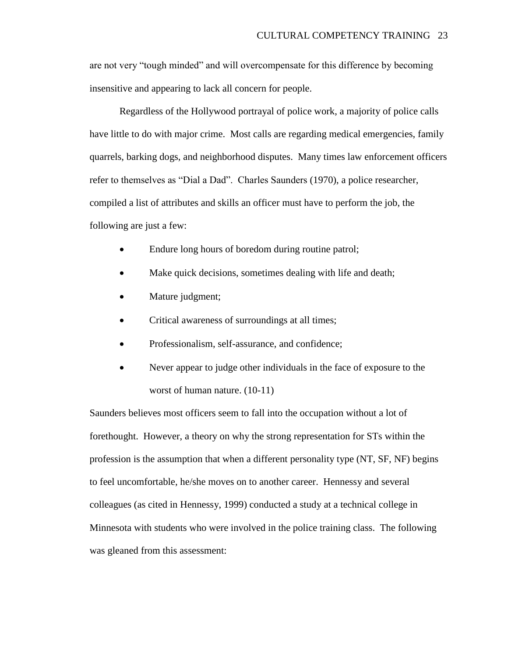are not very "tough minded" and will overcompensate for this difference by becoming insensitive and appearing to lack all concern for people.

Regardless of the Hollywood portrayal of police work, a majority of police calls have little to do with major crime. Most calls are regarding medical emergencies, family quarrels, barking dogs, and neighborhood disputes. Many times law enforcement officers refer to themselves as "Dial a Dad". Charles Saunders (1970), a police researcher, compiled a list of attributes and skills an officer must have to perform the job, the following are just a few:

- Endure long hours of boredom during routine patrol;
- Make quick decisions, sometimes dealing with life and death;
- Mature judgment;
- Critical awareness of surroundings at all times;
- Professionalism, self-assurance, and confidence;
- Never appear to judge other individuals in the face of exposure to the worst of human nature. (10-11)

Saunders believes most officers seem to fall into the occupation without a lot of forethought. However, a theory on why the strong representation for STs within the profession is the assumption that when a different personality type (NT, SF, NF) begins to feel uncomfortable, he/she moves on to another career. Hennessy and several colleagues (as cited in Hennessy, 1999) conducted a study at a technical college in Minnesota with students who were involved in the police training class. The following was gleaned from this assessment: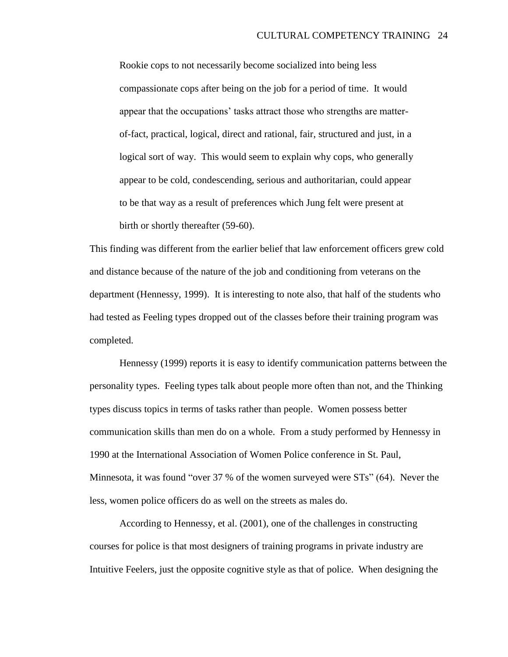Rookie cops to not necessarily become socialized into being less compassionate cops after being on the job for a period of time. It would appear that the occupations" tasks attract those who strengths are matterof-fact, practical, logical, direct and rational, fair, structured and just, in a logical sort of way. This would seem to explain why cops, who generally appear to be cold, condescending, serious and authoritarian, could appear to be that way as a result of preferences which Jung felt were present at birth or shortly thereafter (59-60).

This finding was different from the earlier belief that law enforcement officers grew cold and distance because of the nature of the job and conditioning from veterans on the department (Hennessy, 1999). It is interesting to note also, that half of the students who had tested as Feeling types dropped out of the classes before their training program was completed.

Hennessy (1999) reports it is easy to identify communication patterns between the personality types. Feeling types talk about people more often than not, and the Thinking types discuss topics in terms of tasks rather than people. Women possess better communication skills than men do on a whole. From a study performed by Hennessy in 1990 at the International Association of Women Police conference in St. Paul, Minnesota, it was found "over 37 % of the women surveyed were STs" (64). Never the less, women police officers do as well on the streets as males do.

According to Hennessy, et al. (2001), one of the challenges in constructing courses for police is that most designers of training programs in private industry are Intuitive Feelers, just the opposite cognitive style as that of police. When designing the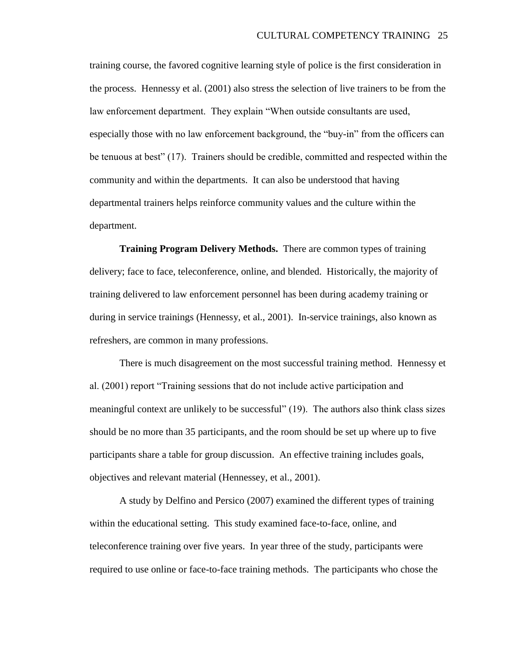training course, the favored cognitive learning style of police is the first consideration in the process. Hennessy et al. (2001) also stress the selection of live trainers to be from the law enforcement department. They explain "When outside consultants are used, especially those with no law enforcement background, the "buy-in" from the officers can be tenuous at best" (17). Trainers should be credible, committed and respected within the community and within the departments. It can also be understood that having departmental trainers helps reinforce community values and the culture within the department.

**Training Program Delivery Methods.** There are common types of training delivery; face to face, teleconference, online, and blended. Historically, the majority of training delivered to law enforcement personnel has been during academy training or during in service trainings (Hennessy, et al., 2001). In-service trainings, also known as refreshers, are common in many professions.

There is much disagreement on the most successful training method. Hennessy et al. (2001) report "Training sessions that do not include active participation and meaningful context are unlikely to be successful" (19). The authors also think class sizes should be no more than 35 participants, and the room should be set up where up to five participants share a table for group discussion. An effective training includes goals, objectives and relevant material (Hennessey, et al., 2001).

A study by Delfino and Persico (2007) examined the different types of training within the educational setting. This study examined face-to-face, online, and teleconference training over five years. In year three of the study, participants were required to use online or face-to-face training methods. The participants who chose the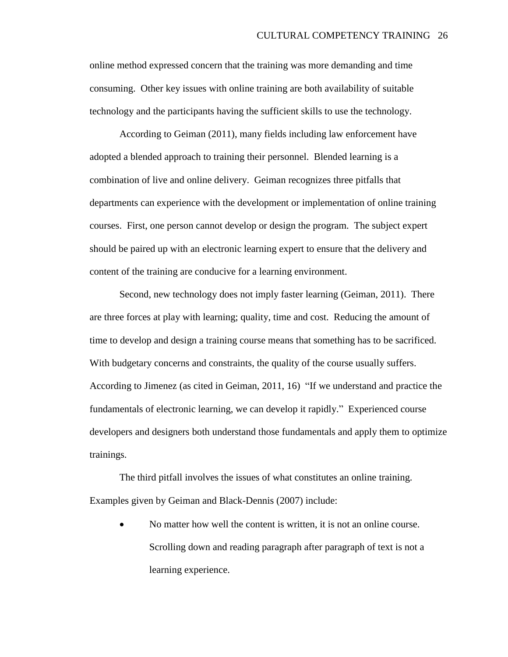online method expressed concern that the training was more demanding and time consuming. Other key issues with online training are both availability of suitable technology and the participants having the sufficient skills to use the technology.

According to Geiman (2011), many fields including law enforcement have adopted a blended approach to training their personnel. Blended learning is a combination of live and online delivery. Geiman recognizes three pitfalls that departments can experience with the development or implementation of online training courses. First, one person cannot develop or design the program. The subject expert should be paired up with an electronic learning expert to ensure that the delivery and content of the training are conducive for a learning environment.

Second, new technology does not imply faster learning (Geiman, 2011). There are three forces at play with learning; quality, time and cost. Reducing the amount of time to develop and design a training course means that something has to be sacrificed. With budgetary concerns and constraints, the quality of the course usually suffers. According to Jimenez (as cited in Geiman, 2011, 16) "If we understand and practice the fundamentals of electronic learning, we can develop it rapidly." Experienced course developers and designers both understand those fundamentals and apply them to optimize trainings.

The third pitfall involves the issues of what constitutes an online training. Examples given by Geiman and Black-Dennis (2007) include:

 No matter how well the content is written, it is not an online course. Scrolling down and reading paragraph after paragraph of text is not a learning experience.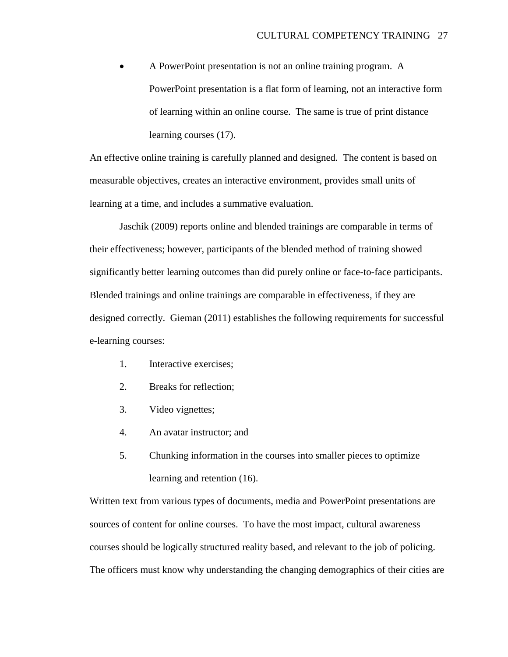A PowerPoint presentation is not an online training program. A PowerPoint presentation is a flat form of learning, not an interactive form of learning within an online course. The same is true of print distance learning courses (17).

An effective online training is carefully planned and designed. The content is based on measurable objectives, creates an interactive environment, provides small units of learning at a time, and includes a summative evaluation.

Jaschik (2009) reports online and blended trainings are comparable in terms of their effectiveness; however, participants of the blended method of training showed significantly better learning outcomes than did purely online or face-to-face participants. Blended trainings and online trainings are comparable in effectiveness, if they are designed correctly. Gieman (2011) establishes the following requirements for successful e-learning courses:

- 1. Interactive exercises;
- 2. Breaks for reflection;
- 3. Video vignettes;
- 4. An avatar instructor; and
- 5. Chunking information in the courses into smaller pieces to optimize learning and retention (16).

Written text from various types of documents, media and PowerPoint presentations are sources of content for online courses. To have the most impact, cultural awareness courses should be logically structured reality based, and relevant to the job of policing. The officers must know why understanding the changing demographics of their cities are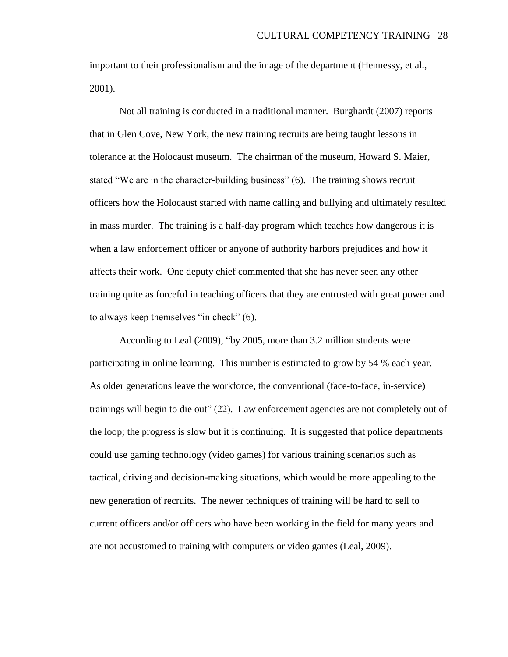important to their professionalism and the image of the department (Hennessy, et al., 2001).

Not all training is conducted in a traditional manner. Burghardt (2007) reports that in Glen Cove, New York, the new training recruits are being taught lessons in tolerance at the Holocaust museum. The chairman of the museum, Howard S. Maier, stated "We are in the character-building business" (6). The training shows recruit officers how the Holocaust started with name calling and bullying and ultimately resulted in mass murder. The training is a half-day program which teaches how dangerous it is when a law enforcement officer or anyone of authority harbors prejudices and how it affects their work. One deputy chief commented that she has never seen any other training quite as forceful in teaching officers that they are entrusted with great power and to always keep themselves "in check" (6).

According to Leal (2009), "by 2005, more than 3.2 million students were participating in online learning. This number is estimated to grow by 54 % each year. As older generations leave the workforce, the conventional (face-to-face, in-service) trainings will begin to die out" (22). Law enforcement agencies are not completely out of the loop; the progress is slow but it is continuing. It is suggested that police departments could use gaming technology (video games) for various training scenarios such as tactical, driving and decision-making situations, which would be more appealing to the new generation of recruits. The newer techniques of training will be hard to sell to current officers and/or officers who have been working in the field for many years and are not accustomed to training with computers or video games (Leal, 2009).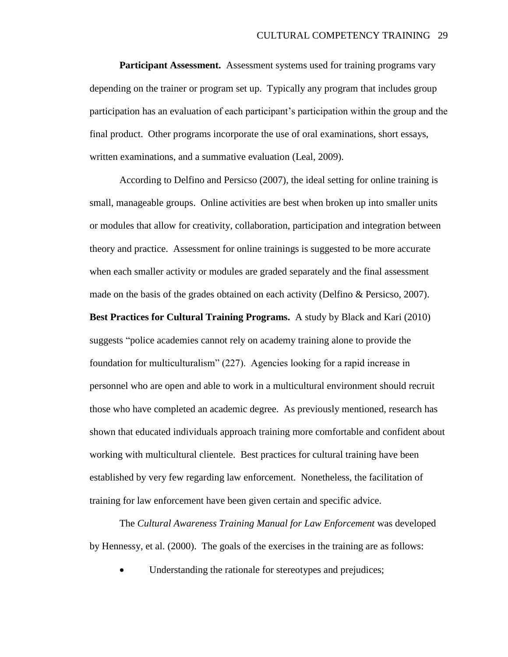**Participant Assessment.** Assessment systems used for training programs vary depending on the trainer or program set up. Typically any program that includes group participation has an evaluation of each participant"s participation within the group and the final product. Other programs incorporate the use of oral examinations, short essays, written examinations, and a summative evaluation (Leal, 2009).

According to Delfino and Persicso (2007), the ideal setting for online training is small, manageable groups. Online activities are best when broken up into smaller units or modules that allow for creativity, collaboration, participation and integration between theory and practice. Assessment for online trainings is suggested to be more accurate when each smaller activity or modules are graded separately and the final assessment made on the basis of the grades obtained on each activity (Delfino & Persicso, 2007). **Best Practices for Cultural Training Programs.** A study by Black and Kari (2010) suggests "police academies cannot rely on academy training alone to provide the foundation for multiculturalism" (227). Agencies looking for a rapid increase in personnel who are open and able to work in a multicultural environment should recruit those who have completed an academic degree. As previously mentioned, research has shown that educated individuals approach training more comfortable and confident about working with multicultural clientele. Best practices for cultural training have been established by very few regarding law enforcement. Nonetheless, the facilitation of training for law enforcement have been given certain and specific advice.

The *Cultural Awareness Training Manual for Law Enforcement* was developed by Hennessy, et al. (2000). The goals of the exercises in the training are as follows:

Understanding the rationale for stereotypes and prejudices;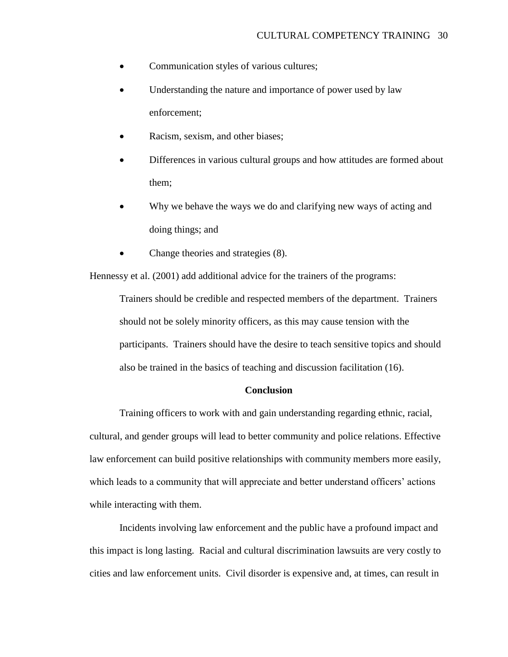- Communication styles of various cultures;
- Understanding the nature and importance of power used by law enforcement;
- Racism, sexism, and other biases;
- Differences in various cultural groups and how attitudes are formed about them;
- Why we behave the ways we do and clarifying new ways of acting and doing things; and
- Change theories and strategies  $(8)$ .

Hennessy et al. (2001) add additional advice for the trainers of the programs:

Trainers should be credible and respected members of the department. Trainers should not be solely minority officers, as this may cause tension with the participants. Trainers should have the desire to teach sensitive topics and should also be trained in the basics of teaching and discussion facilitation (16).

#### **Conclusion**

Training officers to work with and gain understanding regarding ethnic, racial, cultural, and gender groups will lead to better community and police relations. Effective law enforcement can build positive relationships with community members more easily, which leads to a community that will appreciate and better understand officers' actions while interacting with them.

Incidents involving law enforcement and the public have a profound impact and this impact is long lasting. Racial and cultural discrimination lawsuits are very costly to cities and law enforcement units. Civil disorder is expensive and, at times, can result in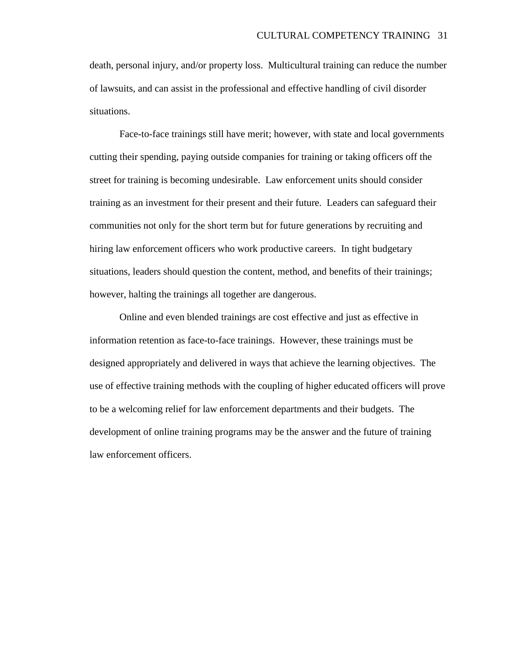death, personal injury, and/or property loss. Multicultural training can reduce the number of lawsuits, and can assist in the professional and effective handling of civil disorder situations.

Face-to-face trainings still have merit; however, with state and local governments cutting their spending, paying outside companies for training or taking officers off the street for training is becoming undesirable. Law enforcement units should consider training as an investment for their present and their future. Leaders can safeguard their communities not only for the short term but for future generations by recruiting and hiring law enforcement officers who work productive careers. In tight budgetary situations, leaders should question the content, method, and benefits of their trainings; however, halting the trainings all together are dangerous.

Online and even blended trainings are cost effective and just as effective in information retention as face-to-face trainings. However, these trainings must be designed appropriately and delivered in ways that achieve the learning objectives. The use of effective training methods with the coupling of higher educated officers will prove to be a welcoming relief for law enforcement departments and their budgets. The development of online training programs may be the answer and the future of training law enforcement officers.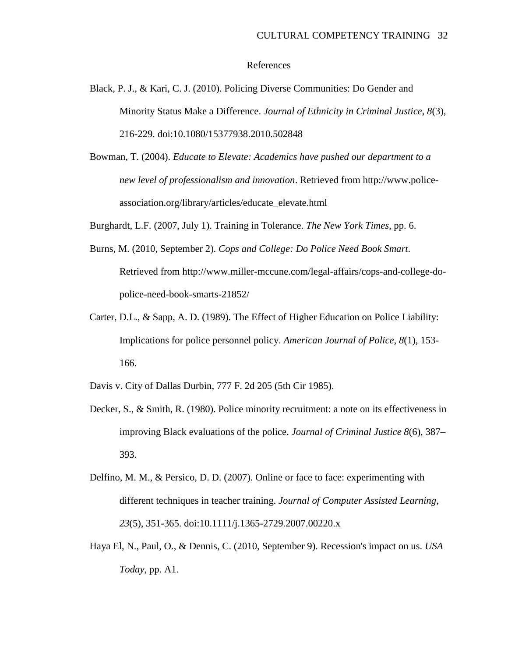#### References

- Black, P. J., & Kari, C. J. (2010). Policing Diverse Communities: Do Gender and Minority Status Make a Difference. *Journal of Ethnicity in Criminal Justice*, *8*(3), 216-229. doi:10.1080/15377938.2010.502848
- Bowman, T. (2004). *Educate to Elevate: Academics have pushed our department to a new level of professionalism and innovation*. Retrieved from http://www.policeassociation.org/library/articles/educate\_elevate.html
- Burghardt, L.F. (2007, July 1). Training in Tolerance. *The New York Times*, pp. 6.
- Burns, M. (2010, September 2). *Cops and College: Do Police Need Book Smart.* Retrieved from http://www.miller-mccune.com/legal-affairs/cops-and-college-dopolice-need-book-smarts-21852/
- Carter, D.L., & Sapp, A. D. (1989). The Effect of Higher Education on Police Liability: Implications for police personnel policy. *American Journal of Police*, *8*(1), 153- 166.
- Davis v. City of Dallas Durbin, 777 F. 2d 205 (5th Cir 1985).
- Decker, S., & Smith, R. (1980). Police minority recruitment: a note on its effectiveness in improving Black evaluations of the police. *Journal of Criminal Justice 8*(6), 387– 393.
- Delfino, M. M., & Persico, D. D. (2007). Online or face to face: experimenting with different techniques in teacher training. *Journal of Computer Assisted Learning*, *23*(5), 351-365. doi:10.1111/j.1365-2729.2007.00220.x
- Haya El, N., Paul, O., & Dennis, C. (2010, September 9). Recession's impact on us. *USA Today*, pp. A1.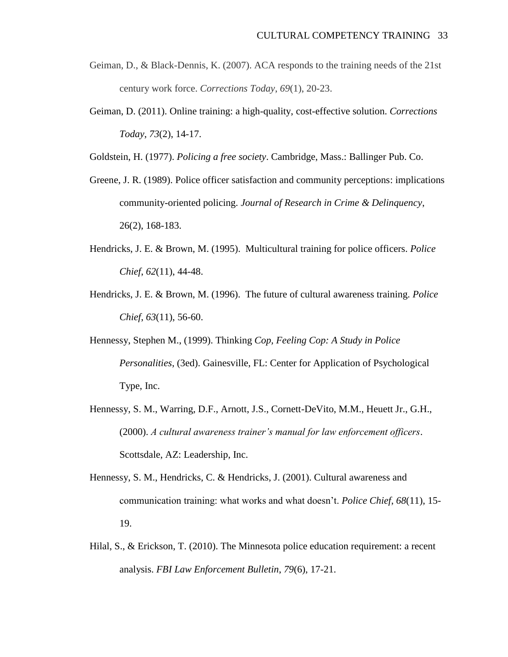- Geiman, D., & Black-Dennis, K. (2007). ACA responds to the training needs of the 21st century work force. *Corrections Today*, *69*(1), 20-23.
- Geiman, D. (2011). Online training: a high-quality, cost-effective solution. *Corrections Today*, *73*(2), 14-17.

Goldstein, H. (1977). *Policing a free society*. Cambridge, Mass.: Ballinger Pub. Co.

- Greene, J. R. (1989). Police officer satisfaction and community perceptions: implications community-oriented policing. *Journal of Research in Crime & Delinquency*, 26(2), 168-183.
- Hendricks, J. E. & Brown, M. (1995). Multicultural training for police officers. *Police Chief*, *62*(11), 44-48.
- Hendricks, J. E. & Brown, M. (1996). The future of cultural awareness training. *Police Chief*, *63*(11), 56-60.
- Hennessy, Stephen M., (1999). Thinking *Cop, Feeling Cop: A Study in Police Personalities*, (3ed). Gainesville, FL: Center for Application of Psychological Type, Inc.
- Hennessy, S. M., Warring, D.F., Arnott, J.S., Cornett-DeVito, M.M., Heuett Jr., G.H., (2000). *A cultural awareness trainer's manual for law enforcement officers*. Scottsdale, AZ: Leadership, Inc.
- Hennessy, S. M., Hendricks, C. & Hendricks, J. (2001). Cultural awareness and communication training: what works and what doesn"t. *Police Chief*, *68*(11), 15- 19.
- Hilal, S., & Erickson, T. (2010). The Minnesota police education requirement: a recent analysis. *FBI Law Enforcement Bulletin*, *79*(6), 17-21.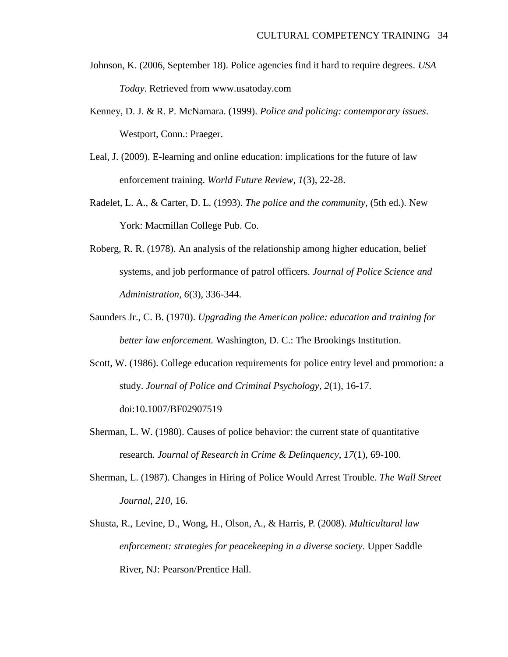- Johnson, K. (2006, September 18). Police agencies find it hard to require degrees. *USA Today*. Retrieved from www.usatoday.com
- Kenney, D. J. & R. P. McNamara. (1999). *Police and policing: contemporary issues*. Westport, Conn.: Praeger.
- Leal, J. (2009). E-learning and online education: implications for the future of law enforcement training. *World Future Review, 1*(3), 22-28.
- Radelet, L. A., & Carter, D. L. (1993). *The police and the community,* (5th ed.). New York: Macmillan College Pub. Co.
- Roberg, R. R. (1978). An analysis of the relationship among higher education, belief systems, and job performance of patrol officers. *Journal of Police Science and Administration, 6*(3), 336-344.
- Saunders Jr., C. B. (1970). *Upgrading the American police: education and training for better law enforcement.* Washington, D. C.: The Brookings Institution.
- Scott, W. (1986). College education requirements for police entry level and promotion: a study. *Journal of Police and Criminal Psychology, 2*(1), 16-17. doi:10.1007/BF02907519
- Sherman, L. W. (1980). Causes of police behavior: the current state of quantitative research. *Journal of Research in Crime & Delinquency*, *17*(1), 69-100.
- Sherman, L. (1987). Changes in Hiring of Police Would Arrest Trouble. *The Wall Street Journal*, *210,* 16.
- Shusta, R., Levine, D., Wong, H., Olson, A., & Harris, P. (2008). *Multicultural law enforcement: strategies for peacekeeping in a diverse society*. Upper Saddle River, NJ: Pearson/Prentice Hall.